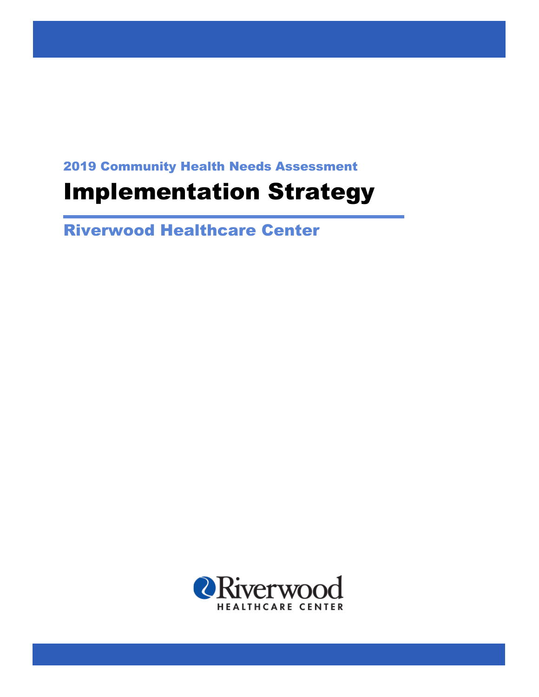2019 Community Health Needs Assessment

# Implementation Strategy

Riverwood Healthcare Center

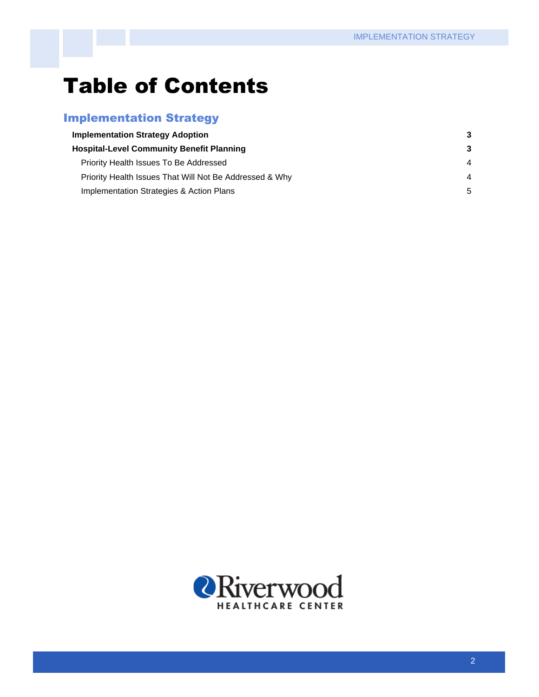## Table of Contents

## Implementation Strategy

| <b>Implementation Strategy Adoption</b><br><b>Hospital-Level Community Benefit Planning</b> |    |
|---------------------------------------------------------------------------------------------|----|
|                                                                                             |    |
| Priority Health Issues That Will Not Be Addressed & Why                                     | 4  |
| Implementation Strategies & Action Plans                                                    | .5 |

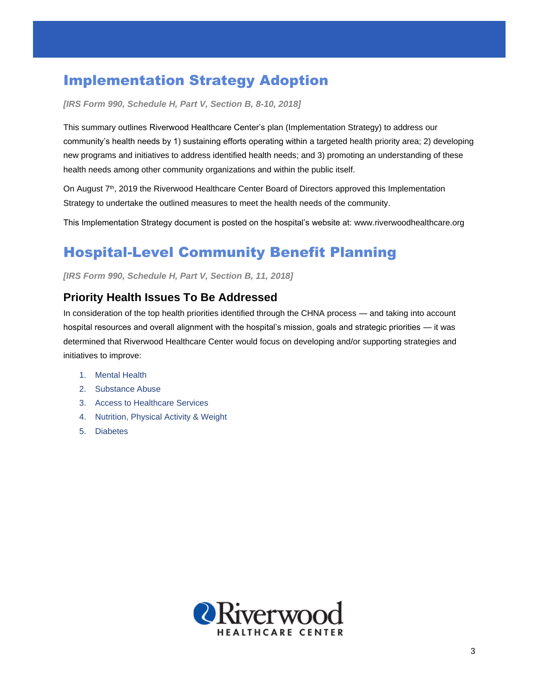## Implementation Strategy Adoption

*[IRS Form 990, Schedule H, Part V, Section B, 8-10, 2018]*

This summary outlines Riverwood Healthcare Center's plan (Implementation Strategy) to address our community's health needs by 1) sustaining efforts operating within a targeted health priority area; 2) developing new programs and initiatives to address identified health needs; and 3) promoting an understanding of these health needs among other community organizations and within the public itself.

On August 7<sup>th</sup>, 2019 the Riverwood Healthcare Center Board of Directors approved this Implementation Strategy to undertake the outlined measures to meet the health needs of the community.

This Implementation Strategy document is posted on the hospital's website at: www.riverwoodhealthcare.org

## Hospital-Level Community Benefit Planning

*[IRS Form 990, Schedule H, Part V, Section B, 11, 2018]*

### **Priority Health Issues To Be Addressed**

In consideration of the top health priorities identified through the CHNA process — and taking into account hospital resources and overall alignment with the hospital's mission, goals and strategic priorities — it was determined that Riverwood Healthcare Center would focus on developing and/or supporting strategies and initiatives to improve:

- 1. Mental Health
- 2. Substance Abuse
- 3. Access to Healthcare Services
- 4. Nutrition, Physical Activity & Weight
- 5. Diabetes

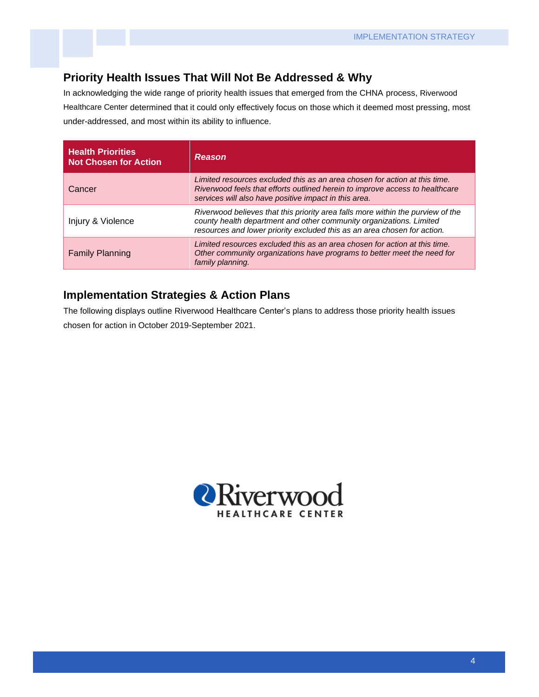#### **Priority Health Issues That Will Not Be Addressed & Why**

In acknowledging the wide range of priority health issues that emerged from the CHNA process, Riverwood Healthcare Center determined that it could only effectively focus on those which it deemed most pressing, most under-addressed, and most within its ability to influence.

| <b>Health Priorities</b><br><b>Not Chosen for Action</b> | <b>Reason</b>                                                                                                                                                                                                                      |
|----------------------------------------------------------|------------------------------------------------------------------------------------------------------------------------------------------------------------------------------------------------------------------------------------|
| Cancer                                                   | Limited resources excluded this as an area chosen for action at this time.<br>Riverwood feels that efforts outlined herein to improve access to healthcare<br>services will also have positive impact in this area.                |
| Injury & Violence                                        | Riverwood believes that this priority area falls more within the purview of the<br>county health department and other community organizations. Limited<br>resources and lower priority excluded this as an area chosen for action. |
| <b>Family Planning</b>                                   | Limited resources excluded this as an area chosen for action at this time.<br>Other community organizations have programs to better meet the need for<br>family planning.                                                          |

#### **Implementation Strategies & Action Plans**

The following displays outline Riverwood Healthcare Center's plans to address those priority health issues chosen for action in October 2019-September 2021.

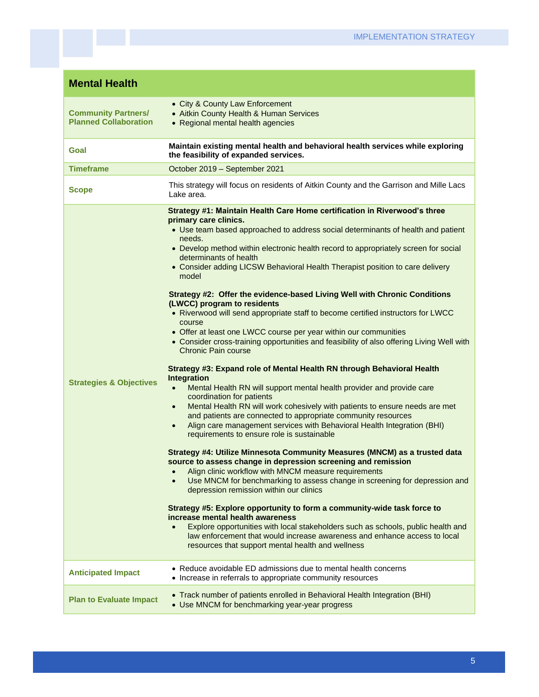| <b>Mental Health</b>                                       |                                                                                                                                                                                                                                                                                                                                                                                                                                                                                                                                                                                                                                                                                                                                                                                                                                                                                                                                                                                                                                                                                                                                                                                                                                                                                                                                                                                                                                                                                                                                                                                                                                                                                                                                                                                                                                                                                                                                                                                                   |
|------------------------------------------------------------|---------------------------------------------------------------------------------------------------------------------------------------------------------------------------------------------------------------------------------------------------------------------------------------------------------------------------------------------------------------------------------------------------------------------------------------------------------------------------------------------------------------------------------------------------------------------------------------------------------------------------------------------------------------------------------------------------------------------------------------------------------------------------------------------------------------------------------------------------------------------------------------------------------------------------------------------------------------------------------------------------------------------------------------------------------------------------------------------------------------------------------------------------------------------------------------------------------------------------------------------------------------------------------------------------------------------------------------------------------------------------------------------------------------------------------------------------------------------------------------------------------------------------------------------------------------------------------------------------------------------------------------------------------------------------------------------------------------------------------------------------------------------------------------------------------------------------------------------------------------------------------------------------------------------------------------------------------------------------------------------------|
| <b>Community Partners/</b><br><b>Planned Collaboration</b> | • City & County Law Enforcement<br>• Aitkin County Health & Human Services<br>• Regional mental health agencies                                                                                                                                                                                                                                                                                                                                                                                                                                                                                                                                                                                                                                                                                                                                                                                                                                                                                                                                                                                                                                                                                                                                                                                                                                                                                                                                                                                                                                                                                                                                                                                                                                                                                                                                                                                                                                                                                   |
| Goal                                                       | Maintain existing mental health and behavioral health services while exploring<br>the feasibility of expanded services.                                                                                                                                                                                                                                                                                                                                                                                                                                                                                                                                                                                                                                                                                                                                                                                                                                                                                                                                                                                                                                                                                                                                                                                                                                                                                                                                                                                                                                                                                                                                                                                                                                                                                                                                                                                                                                                                           |
| <b>Timeframe</b>                                           | October 2019 - September 2021                                                                                                                                                                                                                                                                                                                                                                                                                                                                                                                                                                                                                                                                                                                                                                                                                                                                                                                                                                                                                                                                                                                                                                                                                                                                                                                                                                                                                                                                                                                                                                                                                                                                                                                                                                                                                                                                                                                                                                     |
| <b>Scope</b>                                               | This strategy will focus on residents of Aitkin County and the Garrison and Mille Lacs<br>Lake area.                                                                                                                                                                                                                                                                                                                                                                                                                                                                                                                                                                                                                                                                                                                                                                                                                                                                                                                                                                                                                                                                                                                                                                                                                                                                                                                                                                                                                                                                                                                                                                                                                                                                                                                                                                                                                                                                                              |
| <b>Strategies &amp; Objectives</b>                         | Strategy #1: Maintain Health Care Home certification in Riverwood's three<br>primary care clinics.<br>• Use team based approached to address social determinants of health and patient<br>needs.<br>• Develop method within electronic health record to appropriately screen for social<br>determinants of health<br>• Consider adding LICSW Behavioral Health Therapist position to care delivery<br>model<br>Strategy #2: Offer the evidence-based Living Well with Chronic Conditions<br>(LWCC) program to residents<br>• Riverwood will send appropriate staff to become certified instructors for LWCC<br>course<br>• Offer at least one LWCC course per year within our communities<br>• Consider cross-training opportunities and feasibility of also offering Living Well with<br>Chronic Pain course<br>Strategy #3: Expand role of Mental Health RN through Behavioral Health<br>Integration<br>Mental Health RN will support mental health provider and provide care<br>$\bullet$<br>coordination for patients<br>Mental Health RN will work cohesively with patients to ensure needs are met<br>$\bullet$<br>and patients are connected to appropriate community resources<br>Align care management services with Behavioral Health Integration (BHI)<br>$\bullet$<br>requirements to ensure role is sustainable<br>Strategy #4: Utilize Minnesota Community Measures (MNCM) as a trusted data<br>source to assess change in depression screening and remission<br>Align clinic workflow with MNCM measure requirements<br>Use MNCM for benchmarking to assess change in screening for depression and<br>depression remission within our clinics<br>Strategy #5: Explore opportunity to form a community-wide task force to<br>increase mental health awareness<br>Explore opportunities with local stakeholders such as schools, public health and<br>law enforcement that would increase awareness and enhance access to local<br>resources that support mental health and wellness |
| <b>Anticipated Impact</b>                                  | • Reduce avoidable ED admissions due to mental health concerns<br>• Increase in referrals to appropriate community resources                                                                                                                                                                                                                                                                                                                                                                                                                                                                                                                                                                                                                                                                                                                                                                                                                                                                                                                                                                                                                                                                                                                                                                                                                                                                                                                                                                                                                                                                                                                                                                                                                                                                                                                                                                                                                                                                      |
| <b>Plan to Evaluate Impact</b>                             | • Track number of patients enrolled in Behavioral Health Integration (BHI)<br>• Use MNCM for benchmarking year-year progress                                                                                                                                                                                                                                                                                                                                                                                                                                                                                                                                                                                                                                                                                                                                                                                                                                                                                                                                                                                                                                                                                                                                                                                                                                                                                                                                                                                                                                                                                                                                                                                                                                                                                                                                                                                                                                                                      |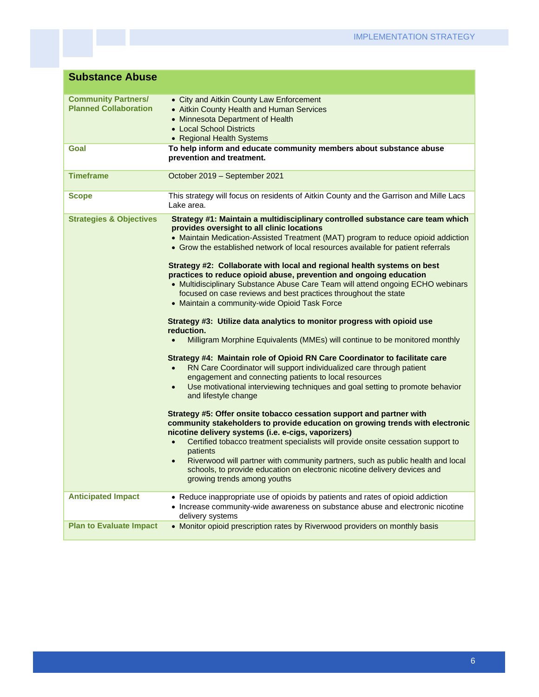| <b>Substance Abuse</b>                                     |                                                                                                                                                                                                                                                                                                                                                                                                                                                                                                                                                                                                                                                                                                                                                                                                                                                                                                                                                                                                                                                                                                                                                                                                                                                                                                                                                                                                                                                                                                                                                                                                                                                                                                                                    |
|------------------------------------------------------------|------------------------------------------------------------------------------------------------------------------------------------------------------------------------------------------------------------------------------------------------------------------------------------------------------------------------------------------------------------------------------------------------------------------------------------------------------------------------------------------------------------------------------------------------------------------------------------------------------------------------------------------------------------------------------------------------------------------------------------------------------------------------------------------------------------------------------------------------------------------------------------------------------------------------------------------------------------------------------------------------------------------------------------------------------------------------------------------------------------------------------------------------------------------------------------------------------------------------------------------------------------------------------------------------------------------------------------------------------------------------------------------------------------------------------------------------------------------------------------------------------------------------------------------------------------------------------------------------------------------------------------------------------------------------------------------------------------------------------------|
| <b>Community Partners/</b><br><b>Planned Collaboration</b> | • City and Aitkin County Law Enforcement<br>• Aitkin County Health and Human Services<br>• Minnesota Department of Health<br>• Local School Districts<br>• Regional Health Systems                                                                                                                                                                                                                                                                                                                                                                                                                                                                                                                                                                                                                                                                                                                                                                                                                                                                                                                                                                                                                                                                                                                                                                                                                                                                                                                                                                                                                                                                                                                                                 |
| Goal                                                       | To help inform and educate community members about substance abuse<br>prevention and treatment.                                                                                                                                                                                                                                                                                                                                                                                                                                                                                                                                                                                                                                                                                                                                                                                                                                                                                                                                                                                                                                                                                                                                                                                                                                                                                                                                                                                                                                                                                                                                                                                                                                    |
| <b>Timeframe</b>                                           | October 2019 - September 2021                                                                                                                                                                                                                                                                                                                                                                                                                                                                                                                                                                                                                                                                                                                                                                                                                                                                                                                                                                                                                                                                                                                                                                                                                                                                                                                                                                                                                                                                                                                                                                                                                                                                                                      |
| <b>Scope</b>                                               | This strategy will focus on residents of Aitkin County and the Garrison and Mille Lacs<br>Lake area.                                                                                                                                                                                                                                                                                                                                                                                                                                                                                                                                                                                                                                                                                                                                                                                                                                                                                                                                                                                                                                                                                                                                                                                                                                                                                                                                                                                                                                                                                                                                                                                                                               |
| <b>Strategies &amp; Objectives</b>                         | Strategy #1: Maintain a multidisciplinary controlled substance care team which<br>provides oversight to all clinic locations<br>• Maintain Medication-Assisted Treatment (MAT) program to reduce opioid addiction<br>• Grow the established network of local resources available for patient referrals<br>Strategy #2: Collaborate with local and regional health systems on best<br>practices to reduce opioid abuse, prevention and ongoing education<br>• Multidisciplinary Substance Abuse Care Team will attend ongoing ECHO webinars<br>focused on case reviews and best practices throughout the state<br>• Maintain a community-wide Opioid Task Force<br>Strategy #3: Utilize data analytics to monitor progress with opioid use<br>reduction.<br>Milligram Morphine Equivalents (MMEs) will continue to be monitored monthly<br>$\bullet$<br>Strategy #4: Maintain role of Opioid RN Care Coordinator to facilitate care<br>RN Care Coordinator will support individualized care through patient<br>$\bullet$<br>engagement and connecting patients to local resources<br>Use motivational interviewing techniques and goal setting to promote behavior<br>$\bullet$<br>and lifestyle change<br>Strategy #5: Offer onsite tobacco cessation support and partner with<br>community stakeholders to provide education on growing trends with electronic<br>nicotine delivery systems (i.e. e-cigs, vaporizers)<br>Certified tobacco treatment specialists will provide onsite cessation support to<br>patients<br>Riverwood will partner with community partners, such as public health and local<br>$\bullet$<br>schools, to provide education on electronic nicotine delivery devices and<br>growing trends among youths |
| <b>Anticipated Impact</b>                                  | • Reduce inappropriate use of opioids by patients and rates of opioid addiction<br>• Increase community-wide awareness on substance abuse and electronic nicotine<br>delivery systems                                                                                                                                                                                                                                                                                                                                                                                                                                                                                                                                                                                                                                                                                                                                                                                                                                                                                                                                                                                                                                                                                                                                                                                                                                                                                                                                                                                                                                                                                                                                              |
| <b>Plan to Evaluate Impact</b>                             | • Monitor opioid prescription rates by Riverwood providers on monthly basis                                                                                                                                                                                                                                                                                                                                                                                                                                                                                                                                                                                                                                                                                                                                                                                                                                                                                                                                                                                                                                                                                                                                                                                                                                                                                                                                                                                                                                                                                                                                                                                                                                                        |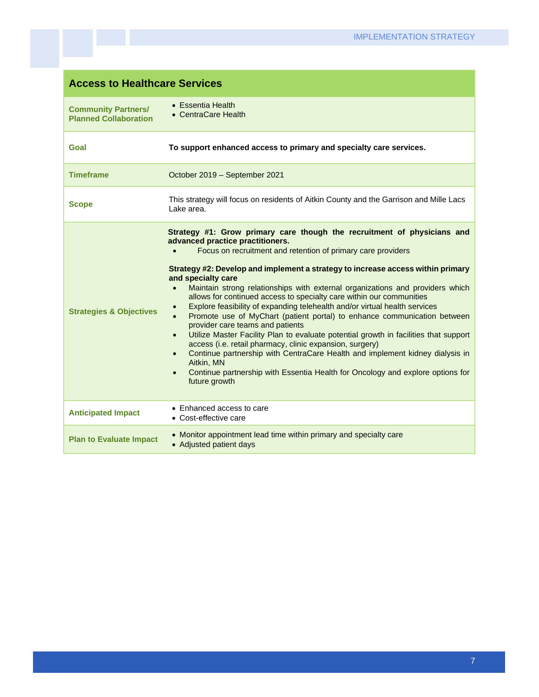| <b>Access to Healthcare Services</b>                       |                                                                                                                                                                                                                                                                                                                                                                                                                                                                                                                                                                                                                                                                                                                                                                                                                                                                                                                                                                                                                                                                   |
|------------------------------------------------------------|-------------------------------------------------------------------------------------------------------------------------------------------------------------------------------------------------------------------------------------------------------------------------------------------------------------------------------------------------------------------------------------------------------------------------------------------------------------------------------------------------------------------------------------------------------------------------------------------------------------------------------------------------------------------------------------------------------------------------------------------------------------------------------------------------------------------------------------------------------------------------------------------------------------------------------------------------------------------------------------------------------------------------------------------------------------------|
| <b>Community Partners/</b><br><b>Planned Collaboration</b> | • Essentia Health<br>• CentraCare Health                                                                                                                                                                                                                                                                                                                                                                                                                                                                                                                                                                                                                                                                                                                                                                                                                                                                                                                                                                                                                          |
| Goal                                                       | To support enhanced access to primary and specialty care services.                                                                                                                                                                                                                                                                                                                                                                                                                                                                                                                                                                                                                                                                                                                                                                                                                                                                                                                                                                                                |
| <b>Timeframe</b>                                           | October 2019 - September 2021                                                                                                                                                                                                                                                                                                                                                                                                                                                                                                                                                                                                                                                                                                                                                                                                                                                                                                                                                                                                                                     |
| <b>Scope</b>                                               | This strategy will focus on residents of Aitkin County and the Garrison and Mille Lacs<br>Lake area.                                                                                                                                                                                                                                                                                                                                                                                                                                                                                                                                                                                                                                                                                                                                                                                                                                                                                                                                                              |
| <b>Strategies &amp; Objectives</b>                         | Strategy #1: Grow primary care though the recruitment of physicians and<br>advanced practice practitioners.<br>Focus on recruitment and retention of primary care providers<br>Strategy #2: Develop and implement a strategy to increase access within primary<br>and specialty care<br>Maintain strong relationships with external organizations and providers which<br>$\bullet$<br>allows for continued access to specialty care within our communities<br>Explore feasibility of expanding telehealth and/or virtual health services<br>$\bullet$<br>Promote use of MyChart (patient portal) to enhance communication between<br>$\bullet$<br>provider care teams and patients<br>Utilize Master Facility Plan to evaluate potential growth in facilities that support<br>$\bullet$<br>access (i.e. retail pharmacy, clinic expansion, surgery)<br>Continue partnership with CentraCare Health and implement kidney dialysis in<br>Aitkin, MN<br>Continue partnership with Essentia Health for Oncology and explore options for<br>$\bullet$<br>future growth |
| <b>Anticipated Impact</b>                                  | • Enhanced access to care<br>• Cost-effective care                                                                                                                                                                                                                                                                                                                                                                                                                                                                                                                                                                                                                                                                                                                                                                                                                                                                                                                                                                                                                |
| <b>Plan to Evaluate Impact</b>                             | • Monitor appointment lead time within primary and specialty care<br>• Adjusted patient days                                                                                                                                                                                                                                                                                                                                                                                                                                                                                                                                                                                                                                                                                                                                                                                                                                                                                                                                                                      |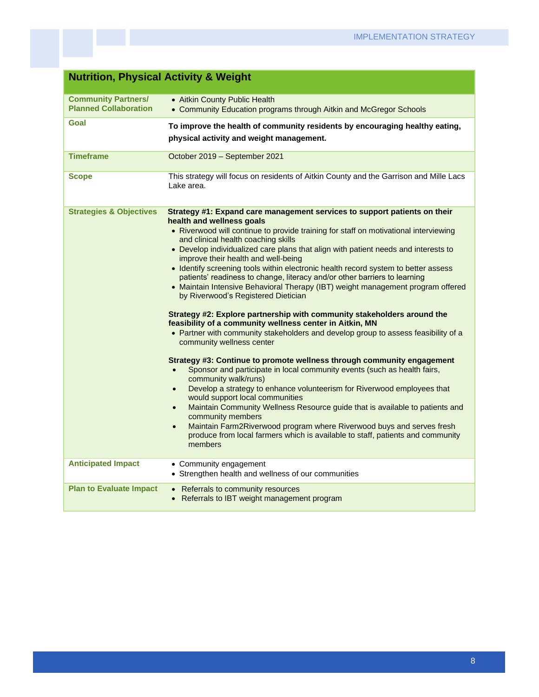| <b>Nutrition, Physical Activity &amp; Weight</b>           |                                                                                                                                                                                                                                                                                                                                                                                                                                                                                                                                                                                                                                                                                                                                                                                                                                                                                                                                                                                                                                                                                                                                                                                                                                                                                                                                                                                                                                                                                                                                                      |
|------------------------------------------------------------|------------------------------------------------------------------------------------------------------------------------------------------------------------------------------------------------------------------------------------------------------------------------------------------------------------------------------------------------------------------------------------------------------------------------------------------------------------------------------------------------------------------------------------------------------------------------------------------------------------------------------------------------------------------------------------------------------------------------------------------------------------------------------------------------------------------------------------------------------------------------------------------------------------------------------------------------------------------------------------------------------------------------------------------------------------------------------------------------------------------------------------------------------------------------------------------------------------------------------------------------------------------------------------------------------------------------------------------------------------------------------------------------------------------------------------------------------------------------------------------------------------------------------------------------------|
| <b>Community Partners/</b><br><b>Planned Collaboration</b> | • Aitkin County Public Health<br>• Community Education programs through Aitkin and McGregor Schools                                                                                                                                                                                                                                                                                                                                                                                                                                                                                                                                                                                                                                                                                                                                                                                                                                                                                                                                                                                                                                                                                                                                                                                                                                                                                                                                                                                                                                                  |
| Goal                                                       | To improve the health of community residents by encouraging healthy eating,<br>physical activity and weight management.                                                                                                                                                                                                                                                                                                                                                                                                                                                                                                                                                                                                                                                                                                                                                                                                                                                                                                                                                                                                                                                                                                                                                                                                                                                                                                                                                                                                                              |
| <b>Timeframe</b>                                           | October 2019 - September 2021                                                                                                                                                                                                                                                                                                                                                                                                                                                                                                                                                                                                                                                                                                                                                                                                                                                                                                                                                                                                                                                                                                                                                                                                                                                                                                                                                                                                                                                                                                                        |
| <b>Scope</b>                                               | This strategy will focus on residents of Aitkin County and the Garrison and Mille Lacs<br>Lake area.                                                                                                                                                                                                                                                                                                                                                                                                                                                                                                                                                                                                                                                                                                                                                                                                                                                                                                                                                                                                                                                                                                                                                                                                                                                                                                                                                                                                                                                 |
| <b>Strategies &amp; Objectives</b>                         | Strategy #1: Expand care management services to support patients on their<br>health and wellness goals<br>• Riverwood will continue to provide training for staff on motivational interviewing<br>and clinical health coaching skills<br>• Develop individualized care plans that align with patient needs and interests to<br>improve their health and well-being<br>• Identify screening tools within electronic health record system to better assess<br>patients' readiness to change, literacy and/or other barriers to learning<br>• Maintain Intensive Behavioral Therapy (IBT) weight management program offered<br>by Riverwood's Registered Dietician<br>Strategy #2: Explore partnership with community stakeholders around the<br>feasibility of a community wellness center in Aitkin, MN<br>• Partner with community stakeholders and develop group to assess feasibility of a<br>community wellness center<br>Strategy #3: Continue to promote wellness through community engagement<br>Sponsor and participate in local community events (such as health fairs,<br>$\bullet$<br>community walk/runs)<br>Develop a strategy to enhance volunteerism for Riverwood employees that<br>$\bullet$<br>would support local communities<br>Maintain Community Wellness Resource guide that is available to patients and<br>$\bullet$<br>community members<br>Maintain Farm2Riverwood program where Riverwood buys and serves fresh<br>$\bullet$<br>produce from local farmers which is available to staff, patients and community<br>members |
| <b>Anticipated Impact</b>                                  | • Community engagement<br>• Strengthen health and wellness of our communities                                                                                                                                                                                                                                                                                                                                                                                                                                                                                                                                                                                                                                                                                                                                                                                                                                                                                                                                                                                                                                                                                                                                                                                                                                                                                                                                                                                                                                                                        |
| <b>Plan to Evaluate Impact</b>                             | • Referrals to community resources<br>• Referrals to IBT weight management program                                                                                                                                                                                                                                                                                                                                                                                                                                                                                                                                                                                                                                                                                                                                                                                                                                                                                                                                                                                                                                                                                                                                                                                                                                                                                                                                                                                                                                                                   |